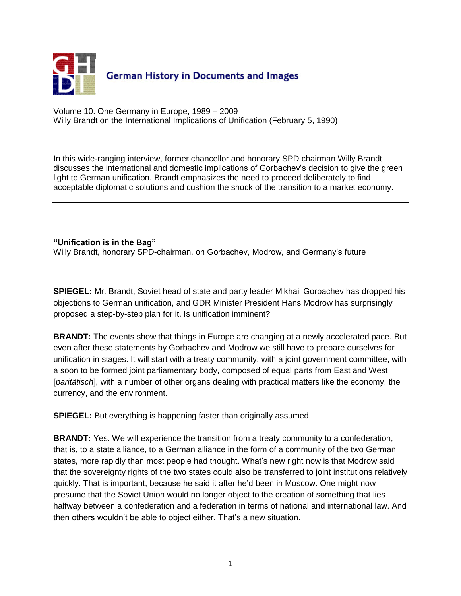

Volume 10. One Germany in Europe, 1989 – 2009 Willy Brandt on the International Implications of Unification (February 5, 1990)

In this wide-ranging interview, former chancellor and honorary SPD chairman Willy Brandt discusses the international and domestic implications of Gorbachev"s decision to give the green light to German unification. Brandt emphasizes the need to proceed deliberately to find acceptable diplomatic solutions and cushion the shock of the transition to a market economy.

## **"Unification is in the Bag"**

Willy Brandt, honorary SPD-chairman, on Gorbachev, Modrow, and Germany"s future

**SPIEGEL:** Mr. Brandt, Soviet head of state and party leader Mikhail Gorbachev has dropped his objections to German unification, and GDR Minister President Hans Modrow has surprisingly proposed a step-by-step plan for it. Is unification imminent?

**BRANDT:** The events show that things in Europe are changing at a newly accelerated pace. But even after these statements by Gorbachev and Modrow we still have to prepare ourselves for unification in stages. It will start with a treaty community, with a joint government committee, with a soon to be formed joint parliamentary body, composed of equal parts from East and West [*paritätisch*], with a number of other organs dealing with practical matters like the economy, the currency, and the environment.

**SPIEGEL:** But everything is happening faster than originally assumed.

**BRANDT:** Yes. We will experience the transition from a treaty community to a confederation, that is, to a state alliance, to a German alliance in the form of a community of the two German states, more rapidly than most people had thought. What"s new right now is that Modrow said that the sovereignty rights of the two states could also be transferred to joint institutions relatively quickly. That is important, because he said it after he"d been in Moscow. One might now presume that the Soviet Union would no longer object to the creation of something that lies halfway between a confederation and a federation in terms of national and international law. And then others wouldn"t be able to object either. That"s a new situation.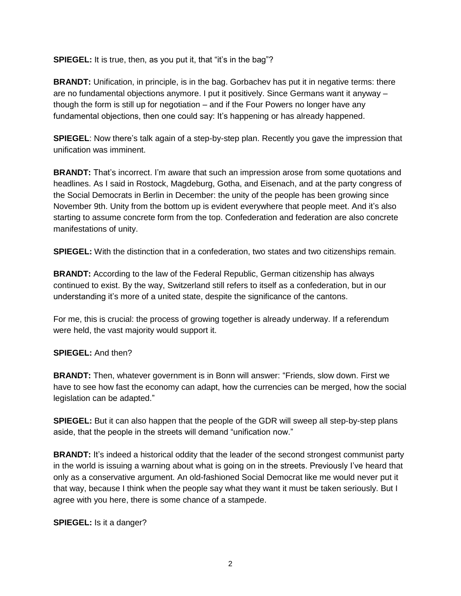**SPIEGEL:** It is true, then, as you put it, that "it's in the bag"?

**BRANDT:** Unification, in principle, is in the bag. Gorbachev has put it in negative terms: there are no fundamental objections anymore. I put it positively. Since Germans want it anyway – though the form is still up for negotiation – and if the Four Powers no longer have any fundamental objections, then one could say: It's happening or has already happened.

**SPIEGEL:** Now there's talk again of a step-by-step plan. Recently you gave the impression that unification was imminent.

**BRANDT:** That's incorrect. I'm aware that such an impression arose from some quotations and headlines. As I said in Rostock, Magdeburg, Gotha, and Eisenach, and at the party congress of the Social Democrats in Berlin in December: the unity of the people has been growing since November 9th. Unity from the bottom up is evident everywhere that people meet. And it"s also starting to assume concrete form from the top. Confederation and federation are also concrete manifestations of unity.

**SPIEGEL:** With the distinction that in a confederation, two states and two citizenships remain.

**BRANDT:** According to the law of the Federal Republic, German citizenship has always continued to exist. By the way, Switzerland still refers to itself as a confederation, but in our understanding it's more of a united state, despite the significance of the cantons.

For me, this is crucial: the process of growing together is already underway. If a referendum were held, the vast majority would support it.

## **SPIEGEL:** And then?

**BRANDT:** Then, whatever government is in Bonn will answer: "Friends, slow down. First we have to see how fast the economy can adapt, how the currencies can be merged, how the social legislation can be adapted."

**SPIEGEL:** But it can also happen that the people of the GDR will sweep all step-by-step plans aside, that the people in the streets will demand "unification now."

**BRANDT:** It's indeed a historical oddity that the leader of the second strongest communist party in the world is issuing a warning about what is going on in the streets. Previously I"ve heard that only as a conservative argument. An old-fashioned Social Democrat like me would never put it that way, because I think when the people say what they want it must be taken seriously. But I agree with you here, there is some chance of a stampede.

**SPIEGEL:** Is it a danger?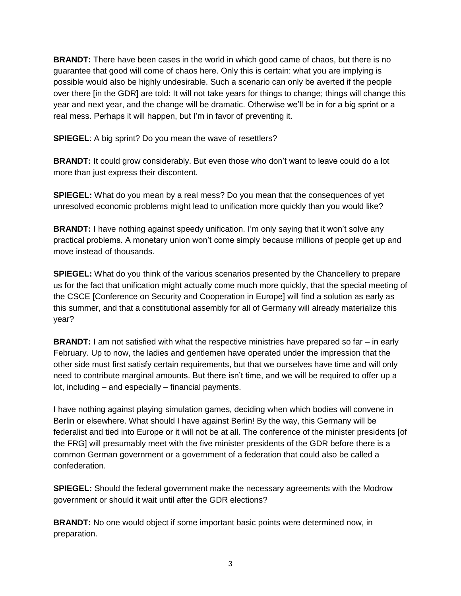**BRANDT:** There have been cases in the world in which good came of chaos, but there is no guarantee that good will come of chaos here. Only this is certain: what you are implying is possible would also be highly undesirable. Such a scenario can only be averted if the people over there [in the GDR] are told: It will not take years for things to change; things will change this year and next year, and the change will be dramatic. Otherwise we"ll be in for a big sprint or a real mess. Perhaps it will happen, but I'm in favor of preventing it.

**SPIEGEL**: A big sprint? Do you mean the wave of resettlers?

**BRANDT:** It could grow considerably. But even those who don't want to leave could do a lot more than just express their discontent.

**SPIEGEL:** What do you mean by a real mess? Do you mean that the consequences of yet unresolved economic problems might lead to unification more quickly than you would like?

**BRANDT:** I have nothing against speedy unification. I'm only saying that it won't solve any practical problems. A monetary union won"t come simply because millions of people get up and move instead of thousands.

**SPIEGEL:** What do you think of the various scenarios presented by the Chancellery to prepare us for the fact that unification might actually come much more quickly, that the special meeting of the CSCE [Conference on Security and Cooperation in Europe] will find a solution as early as this summer, and that a constitutional assembly for all of Germany will already materialize this year?

**BRANDT:** I am not satisfied with what the respective ministries have prepared so far – in early February. Up to now, the ladies and gentlemen have operated under the impression that the other side must first satisfy certain requirements, but that we ourselves have time and will only need to contribute marginal amounts. But there isn"t time, and we will be required to offer up a lot, including – and especially – financial payments.

I have nothing against playing simulation games, deciding when which bodies will convene in Berlin or elsewhere. What should I have against Berlin! By the way, this Germany will be federalist and tied into Europe or it will not be at all. The conference of the minister presidents [of the FRG] will presumably meet with the five minister presidents of the GDR before there is a common German government or a government of a federation that could also be called a confederation.

**SPIEGEL:** Should the federal government make the necessary agreements with the Modrow government or should it wait until after the GDR elections?

**BRANDT:** No one would object if some important basic points were determined now, in preparation.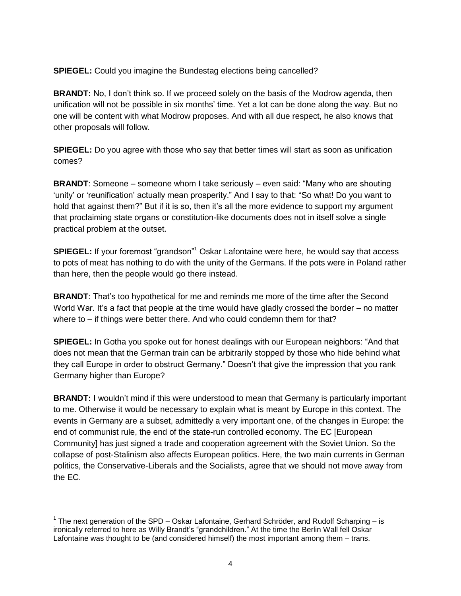**SPIEGEL:** Could you imagine the Bundestag elections being cancelled?

**BRANDT:** No, I don"t think so. If we proceed solely on the basis of the Modrow agenda, then unification will not be possible in six months" time. Yet a lot can be done along the way. But no one will be content with what Modrow proposes. And with all due respect, he also knows that other proposals will follow.

**SPIEGEL:** Do you agree with those who say that better times will start as soon as unification comes?

**BRANDT**: Someone – someone whom I take seriously – even said: "Many who are shouting "unity" or "reunification" actually mean prosperity." And I say to that: "So what! Do you want to hold that against them?" But if it is so, then it's all the more evidence to support my argument that proclaiming state organs or constitution-like documents does not in itself solve a single practical problem at the outset.

**SPIEGEL:** If your foremost "grandson"<sup>1</sup> Oskar Lafontaine were here, he would say that access to pots of meat has nothing to do with the unity of the Germans. If the pots were in Poland rather than here, then the people would go there instead.

**BRANDT:** That's too hypothetical for me and reminds me more of the time after the Second World War. It's a fact that people at the time would have gladly crossed the border – no matter where to – if things were better there. And who could condemn them for that?

**SPIEGEL:** In Gotha you spoke out for honest dealings with our European neighbors: "And that does not mean that the German train can be arbitrarily stopped by those who hide behind what they call Europe in order to obstruct Germany." Doesn"t that give the impression that you rank Germany higher than Europe?

**BRANDT:** I wouldn't mind if this were understood to mean that Germany is particularly important to me. Otherwise it would be necessary to explain what is meant by Europe in this context. The events in Germany are a subset, admittedly a very important one, of the changes in Europe: the end of communist rule, the end of the state-run controlled economy. The EC [European Community] has just signed a trade and cooperation agreement with the Soviet Union. So the collapse of post-Stalinism also affects European politics. Here, the two main currents in German politics, the Conservative-Liberals and the Socialists, agree that we should not move away from the EC.

 $\overline{a}$ <sup>1</sup> The next generation of the SPD – Oskar Lafontaine, Gerhard Schröder, and Rudolf Scharping – is ironically referred to here as Willy Brandt's "grandchildren." At the time the Berlin Wall fell Oskar Lafontaine was thought to be (and considered himself) the most important among them – trans.